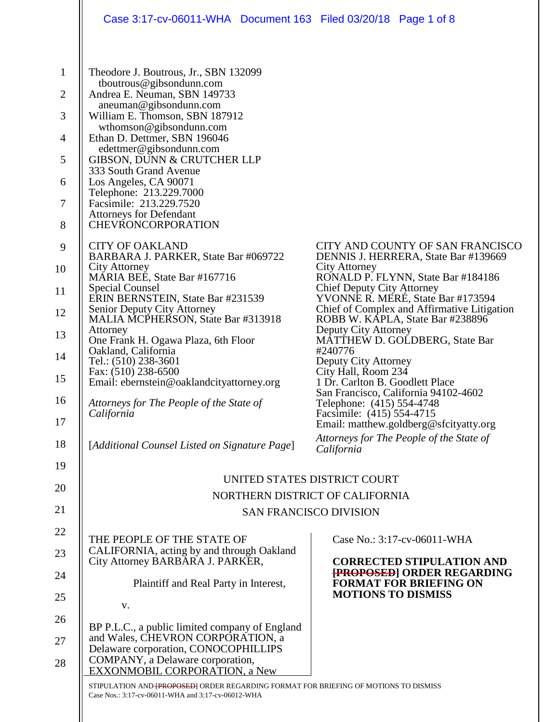|                                | Case 3:17-cv-06011-WHA Document 163 Filed 03/20/18 Page 1 of 8                                                                                      |                                                                                                                                              |
|--------------------------------|-----------------------------------------------------------------------------------------------------------------------------------------------------|----------------------------------------------------------------------------------------------------------------------------------------------|
| $\mathbf{1}$<br>$\overline{2}$ | Theodore J. Boutrous, Jr., SBN 132099<br>tboutrous@gibsondunn.com<br>Andrea E. Neuman, SBN 149733<br>aneuman@gibsondunn.com                         |                                                                                                                                              |
| 3<br>$\overline{4}$            | William E. Thomson, SBN 187912<br>wthomson@gibsondunn.com<br>Ethan D. Dettmer, SBN 196046<br>edettmer@gibsondunn.com                                |                                                                                                                                              |
| 5<br>6                         | GIBSON, DUNN & CRUTCHER LLP<br>333 South Grand Avenue<br>Los Angeles, CA 90071                                                                      |                                                                                                                                              |
| 7<br>8                         | Telephone: 213.229.7000<br>Facsimile: 213.229.7520<br><b>Attorneys for Defendant</b><br><b>CHEVRONCORPORATION</b>                                   |                                                                                                                                              |
| 9                              | <b>CITY OF OAKLAND</b><br>BARBARA J. PARKER, State Bar #069722                                                                                      | CITY AND COUNTY OF SAN FRANCISCO<br>DENNIS J. HERRERA, State Bar #139669                                                                     |
| 10<br>11                       | City Attorney<br>MÁRIA BEE, State Bar #167716<br>Special Counsel                                                                                    | City Attorney<br>RONALD P. FLYNN, State Bar #184186<br><b>Chief Deputy City Attorney</b>                                                     |
| 12                             | ERIN BERNSTEIN, State Bar #231539<br>Senior Deputy City Attorney<br>MALIA MCPHERSON, State Bar #313918<br>Attorney                                  | YVONNE R. MERÉ, State Bar #173594<br>Chief of Complex and Affirmative Litigation<br>ROBB W. KAPLA, State Bar #238896<br>Deputy City Attorney |
| 13<br>14                       | One Frank H. Ogawa Plaza, 6th Floor<br>Oakland, California<br>Tel.: (510) 238-3601                                                                  | <b>MATTHEW D. GOLDBERG, State Bar</b><br>#240776<br>Deputy City Attorney                                                                     |
| 15<br>16                       | Fax: (510) 238-6500<br>Email: ebernstein@oaklandcityattorney.org                                                                                    | City Hall, Room 234<br>1 Dr. Carlton B. Goodlett Place<br>San Francisco, California 94102-4602                                               |
| 17                             | Attorneys for The People of the State of<br>California                                                                                              | Telephone: (415) 554-4748<br>Facsimile: (415) 554-4715<br>Email: matthew.goldberg@sfcityatty.org<br>Attorneys for The People of the State of |
| 18<br>19                       | [Additional Counsel Listed on Signature Page]                                                                                                       | California                                                                                                                                   |
| 20                             |                                                                                                                                                     | UNITED STATES DISTRICT COURT                                                                                                                 |
| 21                             |                                                                                                                                                     | NORTHERN DISTRICT OF CALIFORNIA<br><b>SAN FRANCISCO DIVISION</b>                                                                             |
| 22                             |                                                                                                                                                     |                                                                                                                                              |
| 23                             | THE PEOPLE OF THE STATE OF<br>CALIFORNIA, acting by and through Oakland<br>City Attorney BARBARA J. PARKER,                                         | Case No.: 3:17-cv-06011-WHA<br><b>CORRECTED STIPULATION AND</b>                                                                              |
| 24<br>25                       | Plaintiff and Real Party in Interest,                                                                                                               | <b>[PROPOSED] ORDER REGARDING</b><br><b>FORMAT FOR BRIEFING ON</b><br><b>MOTIONS TO DISMISS</b>                                              |
| 26                             | V.                                                                                                                                                  |                                                                                                                                              |
| 27                             | BP P.L.C., a public limited company of England<br>and Wales, CHEVRON CORPORATION, a<br>Delaware corporation, CONOCOPHILLIPS                         |                                                                                                                                              |
| 28                             | COMPANY, a Delaware corporation,<br><b>EXXONMOBIL CORPORATION, a New</b>                                                                            |                                                                                                                                              |
|                                | STIPULATION AND- <b>[PROPOSED</b> ] ORDER REGARDING FORMAT FOR BRIEFING OF MOTIONS TO DISMISS<br>Case Nos.: 3:17-cv-06011-WHA and 3:17-cv-06012-WHA |                                                                                                                                              |
|                                |                                                                                                                                                     |                                                                                                                                              |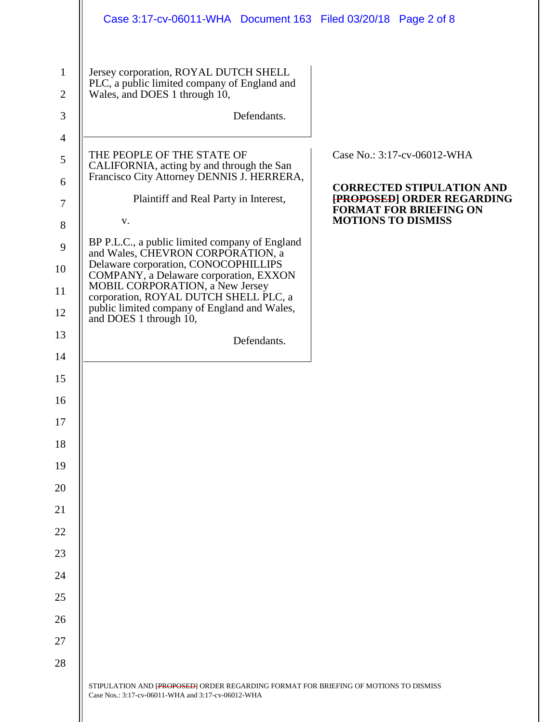|                                     | Case 3:17-cv-06011-WHA Document 163 Filed 03/20/18 Page 2 of 8                                                                                     |                                                                                                 |
|-------------------------------------|----------------------------------------------------------------------------------------------------------------------------------------------------|-------------------------------------------------------------------------------------------------|
| $\mathbf{1}$<br>$\overline{2}$<br>3 | Jersey corporation, ROYAL DUTCH SHELL<br>PLC, a public limited company of England and<br>Wales, and DOES 1 through 10,<br>Defendants.              |                                                                                                 |
| $\overline{4}$<br>5                 | THE PEOPLE OF THE STATE OF<br>CALIFORNIA, acting by and through the San                                                                            | Case No.: 3:17-cv-06012-WHA                                                                     |
| 6<br>$\tau$                         | Francisco City Attorney DENNIS J. HERRERA,<br>Plaintiff and Real Party in Interest,                                                                | <b>CORRECTED STIPULATION AND</b><br>[PROPOSED] ORDER REGARDING<br><b>FORMAT FOR BRIEFING ON</b> |
| $8\,$<br>9                          | V.<br>BP P.L.C., a public limited company of England                                                                                               | <b>MOTIONS TO DISMISS</b>                                                                       |
| 10                                  | and Wales, CHEVRON CORPORATION, a<br>Delaware corporation, CONOCOPHILLIPS<br>COMPANY, a Delaware corporation, EXXON                                |                                                                                                 |
| 11<br>12                            | MOBIL CORPORATION, a New Jersey<br>corporation, ROYAL DUTCH SHELL PLC, a<br>public limited company of England and Wales,<br>and DOES 1 through 10, |                                                                                                 |
| 13                                  | Defendants.                                                                                                                                        |                                                                                                 |
| 14                                  |                                                                                                                                                    |                                                                                                 |
| 15<br>16                            |                                                                                                                                                    |                                                                                                 |
| 17                                  |                                                                                                                                                    |                                                                                                 |
| 18                                  |                                                                                                                                                    |                                                                                                 |
| 19                                  |                                                                                                                                                    |                                                                                                 |
| 20                                  |                                                                                                                                                    |                                                                                                 |
| 21                                  |                                                                                                                                                    |                                                                                                 |
| 22                                  |                                                                                                                                                    |                                                                                                 |
| 23                                  |                                                                                                                                                    |                                                                                                 |
| 24                                  |                                                                                                                                                    |                                                                                                 |
| 25                                  |                                                                                                                                                    |                                                                                                 |
| 26<br>27                            |                                                                                                                                                    |                                                                                                 |
| 28                                  |                                                                                                                                                    |                                                                                                 |
|                                     | STIPULATION AND <b>{PROPOSED}</b> ORDER REGARDING FORMAT FOR BRIEFING OF MOTIONS TO DISMISS<br>Case Nos.: 3:17-cv-06011-WHA and 3:17-cv-06012-WHA  |                                                                                                 |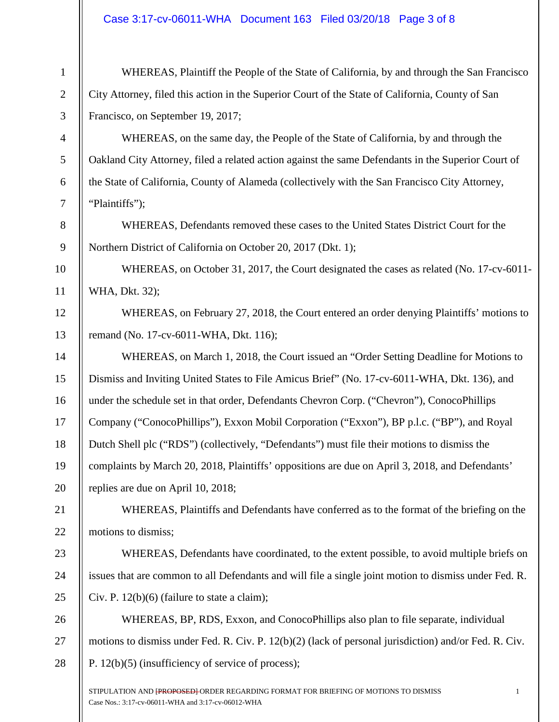## Case 3:17-cv-06011-WHA Document 163 Filed 03/20/18 Page 3 of 8

| $\mathbf{1}$   | WHEREAS, Plaintiff the People of the State of California, by and through the San Francisco            |
|----------------|-------------------------------------------------------------------------------------------------------|
| $\overline{2}$ | City Attorney, filed this action in the Superior Court of the State of California, County of San      |
| $\mathfrak{Z}$ | Francisco, on September 19, 2017;                                                                     |
| $\overline{4}$ | WHEREAS, on the same day, the People of the State of California, by and through the                   |
| $\mathfrak{S}$ | Oakland City Attorney, filed a related action against the same Defendants in the Superior Court of    |
| 6              | the State of California, County of Alameda (collectively with the San Francisco City Attorney,        |
| 7              | "Plaintiffs");                                                                                        |
| $8\,$          | WHEREAS, Defendants removed these cases to the United States District Court for the                   |
| 9              | Northern District of California on October 20, 2017 (Dkt. 1);                                         |
| 10             | WHEREAS, on October 31, 2017, the Court designated the cases as related (No. 17-cv-6011-              |
| 11             | WHA, Dkt. 32);                                                                                        |
| 12             | WHEREAS, on February 27, 2018, the Court entered an order denying Plaintiffs' motions to              |
| 13             | remand (No. 17-cv-6011-WHA, Dkt. 116);                                                                |
| 14             | WHEREAS, on March 1, 2018, the Court issued an "Order Setting Deadline for Motions to                 |
| 15             | Dismiss and Inviting United States to File Amicus Brief" (No. 17-cv-6011-WHA, Dkt. 136), and          |
| 16             | under the schedule set in that order, Defendants Chevron Corp. ("Chevron"), ConocoPhillips            |
| 17             | Company ("ConocoPhillips"), Exxon Mobil Corporation ("Exxon"), BP p.l.c. ("BP"), and Royal            |
| 18             | Dutch Shell plc ("RDS") (collectively, "Defendants") must file their motions to dismiss the           |
| 19             | complaints by March 20, 2018, Plaintiffs' oppositions are due on April 3, 2018, and Defendants'       |
| 20             | replies are due on April 10, 2018;                                                                    |
| 21             | WHEREAS, Plaintiffs and Defendants have conferred as to the format of the briefing on the             |
| 22             | motions to dismiss;                                                                                   |
| 23             | WHEREAS, Defendants have coordinated, to the extent possible, to avoid multiple briefs on             |
| 24             | issues that are common to all Defendants and will file a single joint motion to dismiss under Fed. R. |
| 25             | Civ. P. $12(b)(6)$ (failure to state a claim);                                                        |
| 26             | WHEREAS, BP, RDS, Exxon, and ConocoPhillips also plan to file separate, individual                    |
| 27             | motions to dismiss under Fed. R. Civ. P. 12(b)(2) (lack of personal jurisdiction) and/or Fed. R. Civ. |
| 28             | P. $12(b)(5)$ (insufficiency of service of process);                                                  |
|                | STIPULATION AND FROPOSED ORDER REGARDING FORMAT FOR BRIEFING OF MOTIONS TO DISMISS                    |

Case Nos.: 3:17-cv-06011-WHA and 3:17-cv-06012-WHA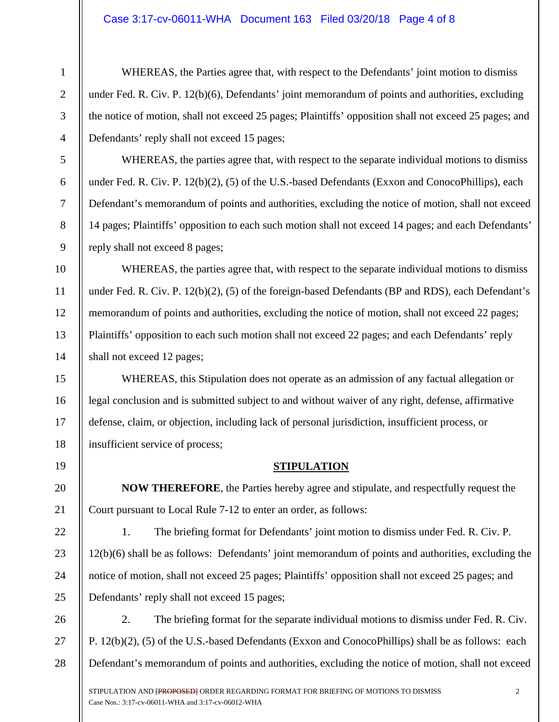## Case 3:17-cv-06011-WHA Document 163 Filed 03/20/18 Page 4 of 8

1

2

3

4

5

6

7

8

9

10

11

12

13

14

15

16

17

18

19

20

21

22

23

24

25

WHEREAS, the Parties agree that, with respect to the Defendants' joint motion to dismiss under Fed. R. Civ. P. 12(b)(6), Defendants' joint memorandum of points and authorities, excluding the notice of motion, shall not exceed 25 pages; Plaintiffs' opposition shall not exceed 25 pages; and Defendants' reply shall not exceed 15 pages;

WHEREAS, the parties agree that, with respect to the separate individual motions to dismiss under Fed. R. Civ. P. 12(b)(2), (5) of the U.S.-based Defendants (Exxon and ConocoPhillips), each Defendant's memorandum of points and authorities, excluding the notice of motion, shall not exceed 14 pages; Plaintiffs' opposition to each such motion shall not exceed 14 pages; and each Defendants' reply shall not exceed 8 pages;

WHEREAS, the parties agree that, with respect to the separate individual motions to dismiss under Fed. R. Civ. P. 12(b)(2), (5) of the foreign-based Defendants (BP and RDS), each Defendant's memorandum of points and authorities, excluding the notice of motion, shall not exceed 22 pages; Plaintiffs' opposition to each such motion shall not exceed 22 pages; and each Defendants' reply shall not exceed 12 pages;

WHEREAS, this Stipulation does not operate as an admission of any factual allegation or legal conclusion and is submitted subject to and without waiver of any right, defense, affirmative defense, claim, or objection, including lack of personal jurisdiction, insufficient process, or insufficient service of process;

## **STIPULATION**

**NOW THEREFORE**, the Parties hereby agree and stipulate, and respectfully request the Court pursuant to Local Rule 7-12 to enter an order, as follows:

1. The briefing format for Defendants' joint motion to dismiss under Fed. R. Civ. P. 12(b)(6) shall be as follows: Defendants' joint memorandum of points and authorities, excluding the notice of motion, shall not exceed 25 pages; Plaintiffs' opposition shall not exceed 25 pages; and Defendants' reply shall not exceed 15 pages;

26 27 28 2. The briefing format for the separate individual motions to dismiss under Fed. R. Civ. P. 12(b)(2), (5) of the U.S.-based Defendants (Exxon and ConocoPhillips) shall be as follows: each Defendant's memorandum of points and authorities, excluding the notice of motion, shall not exceed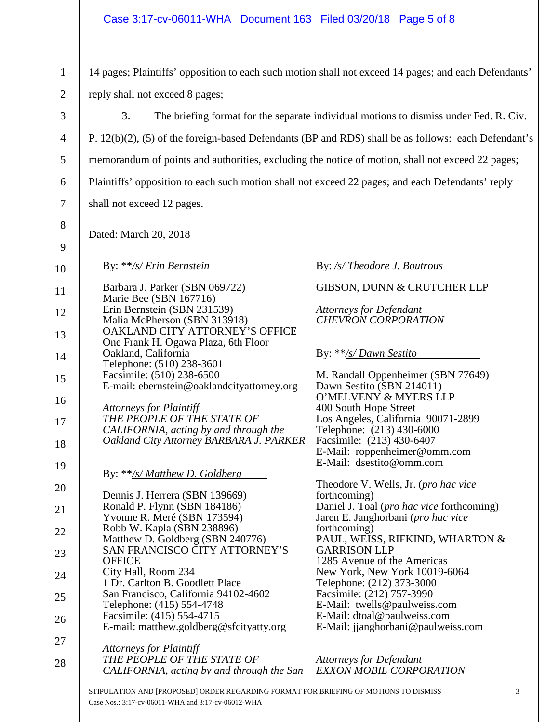1

2

14 pages; Plaintiffs' opposition to each such motion shall not exceed 14 pages; and each Defendants' reply shall not exceed 8 pages;

3 4 5 6 7 8 9 10 11 12 13 14 15 16 17 18 19 20 21 22 23 24 25 26 27 28 3. The briefing format for the separate individual motions to dismiss under Fed. R. Civ. P. 12(b)(2), (5) of the foreign-based Defendants (BP and RDS) shall be as follows: each Defendant's memorandum of points and authorities, excluding the notice of motion, shall not exceed 22 pages; Plaintiffs' opposition to each such motion shall not exceed 22 pages; and each Defendants' reply shall not exceed 12 pages. Dated: March 20, 2018 By: \*\**/s/ Erin Bernstein* Barbara J. Parker (SBN 069722) Marie Bee (SBN 167716) Erin Bernstein (SBN 231539) Malia McPherson (SBN 313918) OAKLAND CITY ATTORNEY'S OFFICE One Frank H. Ogawa Plaza, 6th Floor Oakland, California Telephone: (510) 238-3601 Facsimile: (510) 238-6500 E-mail: ebernstein@oaklandcityattorney.org *Attorneys for Plaintiff THE PEOPLE OF THE STATE OF CALIFORNIA, acting by and through the Oakland City Attorney BARBARA J. PARKER* By: \*\**/s/ Matthew D. Goldberg* Dennis J. Herrera (SBN 139669) Ronald P. Flynn (SBN 184186) Yvonne R. Meré (SBN 173594) Robb W. Kapla (SBN 238896) Matthew D. Goldberg (SBN 240776) SAN FRANCISCO CITY ATTORNEY'S **OFFICE** City Hall, Room 234 1 Dr. Carlton B. Goodlett Place San Francisco, California 94102-4602 Telephone: (415) 554-4748 Facsimile: (415) 554-4715 E-mail: matthew.goldberg@sfcityatty.org *Attorneys for Plaintiff THE PEOPLE OF THE STATE OF CALIFORNIA, acting by and through the San*  By: */s/ Theodore J. Boutrous* GIBSON, DUNN & CRUTCHER LLP *Attorneys for Defendant CHEVRON CORPORATION* By: \*\**/s/ Dawn Sestito* M. Randall Oppenheimer (SBN 77649) Dawn Sestito (SBN 214011) O'MELVENY & MYERS LLP 400 South Hope Street Los Angeles, California 90071-2899 Telephone: (213) 430-6000 Facsimile: (213) 430-6407 E-Mail: roppenheimer@omm.com E-Mail: dsestito@omm.com Theodore V. Wells, Jr. (*pro hac vice* forthcoming) Daniel J. Toal (*pro hac vice* forthcoming) Jaren E. Janghorbani (*pro hac vice* forthcoming) PAUL, WEISS, RIFKIND, WHARTON & GARRISON LLP 1285 Avenue of the Americas New York, New York 10019-6064 Telephone: (212) 373-3000 Facsimile: (212) 757-3990 E-Mail: twells@paulweiss.com E-Mail: dtoal@paulweiss.com E-Mail: jjanghorbani@paulweiss.com *Attorneys for Defendant EXXON MOBIL CORPORATION*

STIPULATION AND <del>[PROPOSED</del>] ORDER REGARDING FORMAT FOR BRIEFING OF MOTIONS TO DISMISS 3 Case Nos.: 3:17-cv-06011-WHA and 3:17-cv-06012-WHA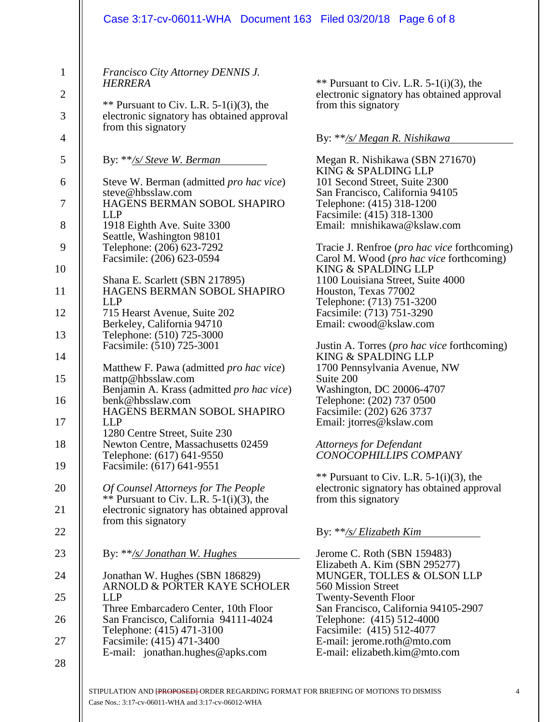|                                                                                        | Case 3:17-cv-06011-WHA Document 163 Filed 03/20/18 Page 6 of 8                                                                                                                                                                                                                                                                                                                                                                                                                                                                                                                                                                                                                                                                                                                                             |                                                                                                                                                                                                                                                                                                                                                                                                                                                                                                                                                                                                                                                                                                                                                                                                                                           |
|----------------------------------------------------------------------------------------|------------------------------------------------------------------------------------------------------------------------------------------------------------------------------------------------------------------------------------------------------------------------------------------------------------------------------------------------------------------------------------------------------------------------------------------------------------------------------------------------------------------------------------------------------------------------------------------------------------------------------------------------------------------------------------------------------------------------------------------------------------------------------------------------------------|-------------------------------------------------------------------------------------------------------------------------------------------------------------------------------------------------------------------------------------------------------------------------------------------------------------------------------------------------------------------------------------------------------------------------------------------------------------------------------------------------------------------------------------------------------------------------------------------------------------------------------------------------------------------------------------------------------------------------------------------------------------------------------------------------------------------------------------------|
| $\mathbf{1}$<br>$\overline{2}$<br>3                                                    | Francisco City Attorney DENNIS J.<br><b>HERRERA</b><br>** Pursuant to Civ. L.R. $5-1(i)(3)$ , the<br>electronic signatory has obtained approval<br>from this signatory                                                                                                                                                                                                                                                                                                                                                                                                                                                                                                                                                                                                                                     | ** Pursuant to Civ. L.R. $5-1(i)(3)$ , the<br>electronic signatory has obtained approval<br>from this signatory                                                                                                                                                                                                                                                                                                                                                                                                                                                                                                                                                                                                                                                                                                                           |
| 4<br>5<br>6<br>7<br>8<br>9<br>10<br>11<br>12<br>13<br>14<br>15<br>16<br>17<br>18<br>19 | By: **/s/ Steve W. Berman<br>Steve W. Berman (admitted <i>pro hac vice</i> )<br>steve@hbsslaw.com<br>HAGENS BERMAN SOBOL SHAPIRO<br><b>LLP</b><br>1918 Eighth Ave. Suite 3300<br>Seattle, Washington 98101<br>Telephone: (206) 623-7292<br>Facsimile: (206) 623-0594<br>Shana E. Scarlett (SBN 217895)<br>HAGENS BERMAN SOBOL SHAPIRO<br><b>LLP</b><br>715 Hearst Avenue, Suite 202<br>Berkeley, California 94710<br>Telephone: (510) 725-3000<br>Facsimile: (510) 725-3001<br>Matthew F. Pawa (admitted <i>pro hac vice</i> )<br>mattp@hbsslaw.com<br>Benjamin A. Krass (admitted <i>pro hac vice</i> )<br>benk@hbsslaw.com<br>HAGENS BERMAN SOBOL SHAPIRO<br><b>LLP</b><br>1280 Centre Street, Suite 230<br>Newton Centre, Massachusetts 02459<br>Telephone: (617) 641-9550<br>Facsimile: (617) 641-9551 | By: **/s/ Megan R. Nishikawa<br>Megan R. Nishikawa (SBN 271670)<br>KING & SPALDING LLP<br>101 Second Street, Suite 2300<br>San Francisco, California 94105<br>Telephone: (415) 318-1200<br>Facsimile: (415) 318-1300<br>Email: mnishikawa@kslaw.com<br>Tracie J. Renfroe ( <i>pro hac vice</i> forthcoming)<br>Carol M. Wood ( <i>pro hac vice</i> forthcoming)<br>KING & SPALDING LLP<br>1100 Louisiana Street, Suite 4000<br>Houston, Texas 77002<br>Telephone: (713) 751-3200<br>Facsimile: (713) 751-3290<br>Email: cwood@kslaw.com<br>Justin A. Torres (pro hac vice forthcoming)<br>KING & SPALDING LLP<br>1700 Pennsylvania Avenue, NW<br>Suite 200<br>Washington, DC 20006-4707<br>Telephone: (202) 737 0500<br>Facsimile: (202) 626 3737<br>Email: jtorres@kslaw.com<br><b>Attorneys for Defendant</b><br>CONOCOPHILLIPS COMPANY |
| 20<br>21<br>22                                                                         | Of Counsel Attorneys for The People<br>** Pursuant to Civ. L.R. $5-1(i)(3)$ , the<br>electronic signatory has obtained approval<br>from this signatory                                                                                                                                                                                                                                                                                                                                                                                                                                                                                                                                                                                                                                                     | ** Pursuant to Civ. L.R. $5-1(i)(3)$ , the<br>electronic signatory has obtained approval<br>from this signatory<br>By: **/s/ Elizabeth Kim                                                                                                                                                                                                                                                                                                                                                                                                                                                                                                                                                                                                                                                                                                |
| 23                                                                                     | By: **/s/ Jonathan W. Hughes                                                                                                                                                                                                                                                                                                                                                                                                                                                                                                                                                                                                                                                                                                                                                                               | Jerome C. Roth (SBN 159483)                                                                                                                                                                                                                                                                                                                                                                                                                                                                                                                                                                                                                                                                                                                                                                                                               |
| 24<br>25                                                                               | Jonathan W. Hughes (SBN 186829)<br>ARNOLD & PORTER KAYE SCHOLER<br><b>LLP</b>                                                                                                                                                                                                                                                                                                                                                                                                                                                                                                                                                                                                                                                                                                                              | Elizabeth A. Kim (SBN 295277)<br>MUNGER, TOLLES & OLSON LLP<br>560 Mission Street<br><b>Twenty-Seventh Floor</b>                                                                                                                                                                                                                                                                                                                                                                                                                                                                                                                                                                                                                                                                                                                          |
| 26                                                                                     | Three Embarcadero Center, 10th Floor<br>San Francisco, California 94111-4024                                                                                                                                                                                                                                                                                                                                                                                                                                                                                                                                                                                                                                                                                                                               | San Francisco, California 94105-2907<br>Telephone: (415) 512-4000                                                                                                                                                                                                                                                                                                                                                                                                                                                                                                                                                                                                                                                                                                                                                                         |
| 27                                                                                     | Telephone: (415) 471-3100<br>Facsimile: (415) 471-3400                                                                                                                                                                                                                                                                                                                                                                                                                                                                                                                                                                                                                                                                                                                                                     | Facsimile: (415) 512-4077<br>E-mail: jerome.roth@mto.com                                                                                                                                                                                                                                                                                                                                                                                                                                                                                                                                                                                                                                                                                                                                                                                  |
| 28                                                                                     | E-mail: jonathan.hughes@apks.com                                                                                                                                                                                                                                                                                                                                                                                                                                                                                                                                                                                                                                                                                                                                                                           | E-mail: elizabeth.kim@mto.com                                                                                                                                                                                                                                                                                                                                                                                                                                                                                                                                                                                                                                                                                                                                                                                                             |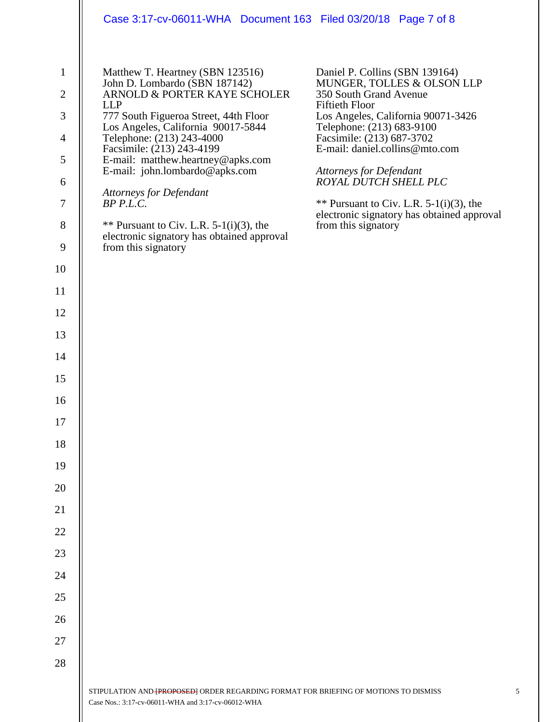|                                                                                                                                                                                                           | Case 3:17-cv-06011-WHA Document 163 Filed 03/20/18 Page 7 of 8                                                                                                                                                                                                                                                                                                                                                                                                                             |                                                                                                                                                                                                                                                                                                                                                                                                                                 |
|-----------------------------------------------------------------------------------------------------------------------------------------------------------------------------------------------------------|--------------------------------------------------------------------------------------------------------------------------------------------------------------------------------------------------------------------------------------------------------------------------------------------------------------------------------------------------------------------------------------------------------------------------------------------------------------------------------------------|---------------------------------------------------------------------------------------------------------------------------------------------------------------------------------------------------------------------------------------------------------------------------------------------------------------------------------------------------------------------------------------------------------------------------------|
| $\mathbf{1}$<br>$\overline{2}$<br>3<br>$\overline{4}$<br>5<br>6<br>$\boldsymbol{7}$<br>8<br>9<br>10<br>11<br>12<br>13<br>14<br>15<br>16<br>17<br>18<br>19<br>20<br>21<br>22<br>23<br>24<br>25<br>26<br>27 | Matthew T. Heartney (SBN 123516)<br>John D. Lombardo (SBN 187142)<br>ARNOLD & PORTER KAYE SCHOLER<br><b>LLP</b><br>777 South Figueroa Street, 44th Floor<br>Los Angeles, California 90017-5844<br>Telephone: (213) 243-4000<br>Facsimile: (213) 243-4199<br>E-mail: matthew.heartney@apks.com<br>E-mail: john.lombardo@apks.com<br>Attorneys for Defendant<br>BP P.L.C.<br>** Pursuant to Civ. L.R. $5-1(i)(3)$ , the<br>electronic signatory has obtained approval<br>from this signatory | Daniel P. Collins (SBN 139164)<br>MUNGER, TOLLES & OLSON LLP<br>350 South Grand Avenue<br><b>Fiftieth Floor</b><br>Los Angeles, California 90071-3426<br>Telephone: (213) 683-9100<br>Facsimile: (213) 687-3702<br>E-mail: daniel.collins@mto.com<br><b>Attorneys for Defendant</b><br>ROYAL DUTCH SHELL PLC<br>** Pursuant to Civ. L.R. $5-1(i)(3)$ , the<br>electronic signatory has obtained approval<br>from this signatory |
| 28                                                                                                                                                                                                        | STIPULATION AND FPROPOSED ORDER REGARDING FORMAT FOR BRIEFING OF MOTIONS TO DISMISS                                                                                                                                                                                                                                                                                                                                                                                                        |                                                                                                                                                                                                                                                                                                                                                                                                                                 |